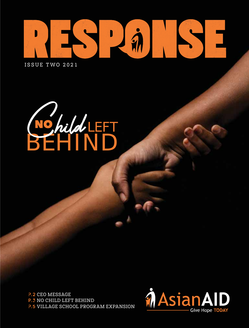

ISSUE TWO 2021

BEHIND Child LEFT

P.2 CEO MESSAGE p.3 NO CHILD LEFT BEHIND P.5 VILLAGE SCHOOL PROGRAM EXPANSION

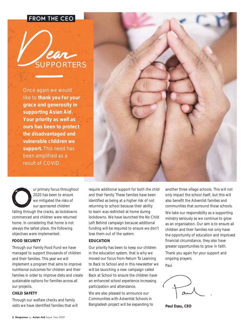### from the ceo



Once again we would like to **thank you for your grace and generosity in supporting Asian Aid. Your priority as well as ours has been to protect the disadvantaged and vulnerable children we support.** This need has been amplified as a result of COVID.



ur primary focus throughout 2020 has been to ensure we mitigated the risks of our sponsored children falling through the cracks, as lockdowns commenced and children were returned home. In considering that home is not always the safest place, the following objectives were implemented:

### **FOOD SECURITY**

Through our Family Food Fund we have managed to support thousands of children and their families. This year we will implement a program that aims to improve nutritional outcomes for children and their families in order to improve diets and create sustainable options for families across all our projects.

### **CHILD SAFETY**

Through our welfare checks and family visits we have identified families that will require additional support for both the child and their family. These families have been identified as being at a higher risk of not returning to school because their ability to learn was restricted at home during lockdowns. We have launched the No Child Left Behind campaign because additional funding will be required to ensure we don't lose them out of the system.

### **EDUCATION**

Our priority has been to keep our children in the education system, that is why we moved our focus from Return To Learning to Back to School and in this newsletter we will be launching a new campaign called Back at School to ensure the children have an enhanced school experience increasing participation and attendance.

We are also pleased to announce our Communities with Adventist Schools in Bangladesh project will be expanding to another three village schools. This will not only impact the school itself, but this will also benefit the Adventist families and communities that surround those schools.

We take our responsibility as a supporting ministry seriously as we continue to grow as an organisation. Our aim is to ensure all children and their families not only have the opportunity of education and improved financial circumstance, they also have greater opportunities to grow in faith. Thank you again for your support and ongoing prayers.

Paul

**Paul Esau, CEO**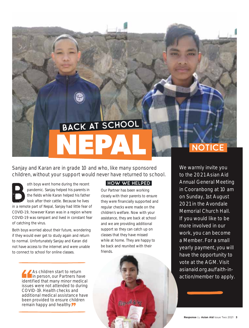# **NEPAL** BACK AT SCHOOL

Sanjay and Karan are in grade 10 and who, like many sponsored children, without your support would never have returned to school.

oth boys went home during the recent pandemic. Sanjay helped his parents in the fields while Karan helped his father look after their cattle. Because he lives in a remote part of Nepal, Sanjay had little fear of COVID-19, however Karan was in a region where COVID-19 was rampant and lived in constant fear of catching the virus.

Both boys worried about their future, wondering if they would ever get to study again and return to normal. Unfortunately Sanjay and Karan did not have access to the internet and were unable to connect to school for online classes.

> As children start to return in person, our Partners have identified that many minor medical issues were not attended to during COVID-19. Health checks and additional medical assistance have been provided to ensure children remain happy and healthy.

### How we helped

Our Partner has been working closely with their parents to ensure they were financially supported and regular checks were made on the children's welfare. Now with your assistance, they are back at school and we are providing additional support so they can catch up on classes that they have missed while at home. They are happy to be back and reunited with their friends.

**Ray of a** 

### **NOTICE**

We warmly invite you to the 2021 Asian Aid Annual General Meeting in Cooranbong at 10 am on Sunday, 1st August 2021 in the Avondale Memorial Church Hall. If you would like to be more involved in our work, you can become a Member. For a small yearly payment, you will have the opportunity to vote at the AGM. Visit asianaid.org.au/faith-inaction/member to apply.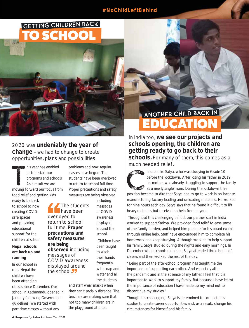### **#NoChildLeftBehind**

### **TO SCHOOL** Getting Children Back



2020 was **undeniably the year of change** – we had to change to create opportunities, plans and possibilities.

 $\frac{1}{2}$ his year has enabled us to restart our programs and schools. As a result we are moving forward our focus from food relief and getting kids

ready to be back to school to now creating COVIDsafe spaces and providing educational support for the children at school.

### **Nepal schools are back up and running**

In our school in rural Nepal the children have been attending

classes since December. Our school in Kathmandu opened in January following Government guidelines. We started with part time classes without any

The students have been overjoyed to return to school full time. **Proper precautions and safety measures are being observed** including messages of COVID awareness displayed around the school<sup>77</sup>

measures are being observed including messages of COVID awareness displayed around the school.

problems and now regular classes have begun. The students have been overjoyed to return to school full time. Proper precautions and safety

> Children have been taught to wash their hands frequently with soap and water and all the students

and staff wear masks when they can't socially distance. The teachers are making sure that not too many children are in the playground at once.

## Another child back in another child back in **EDUCATION**

In India too, **we see our projects and schools opening, the children are getting ready to go back to their schools.** For many of them, this comes as a much needed relief.

Children like Satya, who was studying in Grade 10 before the lockdown. After losing his father in 2019, his mother was already struggling to support the family as a newly single mum. During the lockdown their position became so dire that Satya had to go to work in an incense manufacturing factory loading and unloading materials. He worked for nine hours each day. Satya says that he found it difficult to lift

 Throughout this challenging period, our partner staff in India worked to support Sathya. We provided food relief to ease some of the family burden, and helped him prepare for his board exams through online help. Staff have encouraged him to complete his homework and keep studying. Although working to help support his family, Satya studied during the nights and early mornings. In December when schools reopened Satya attended three hours of classes and then worked the rest of the day.

heavy materials but received no help from anyone.

"Being part of the after-school program has taught me the importance of supporting each other. And especially after the pandemic and in the absence of my father, I feel that it is important to work to support my family. But because I have learnt the importance of education I have made up my mind not to discontinue my studies."

Though it is challenging, Satya is determined to complete his studies to create career opportunities and, as a result, change his circumstances for himself and his family.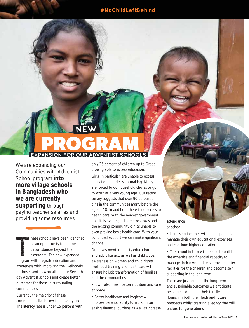### **#NoChildLeftBehind**

## EXP**ROGRAM** New

We are expanding our Communities with Adventist School program **into more village schools in Bangladesh who we are currently supporting** through paying teacher salaries and providing some resources.

T hese schools have been identified as an opportunity to improve circumstances beyond the classroom. The new expanded program will integrate education and awareness with improving the livelihoods of those families who attend our Seventhday Adventist schools and create better outcomes for those in surrounding communities.

Currently the majority of these communities live below the poverty line. The literacy rate is under 15 percent with only 25 percent of children up to Grade 5 being able to access education.

Girls, in particular, are unable to access education and decision-making. Many are forced to do household chores or go to work at a very young age. Our recent survey suggests that over 90 percent of girls in the communities marry before the age of 18. In addition, there is no access to health care, with the nearest government hospitals over eight kilometres away and the existing community clinics unable to even provide basic health care. With your continued support we can make significant change.

Our investment in quality education and adult literacy, as well as child clubs, awareness on women and child rights, livelihood training and healthcare will ensure holistic transformation of families and the communities:

• It will also mean better nutrition and care at home.

• Better healthcare and hygiene will improve parents' ability to work, in turn easing financial burdens as well as increase

attendance at school.

• Increasing incomes will enable parents to manage their own educational expenses and continue higher education.

• The school in-turn will be able to build the expertise and financial capacity to manage their own budgets, provide better facilities for the children and become self supporting in the long term.

These are just some of the long-term and sustainable outcomes we anticipate, helping children and their families to flourish in both their faith and future prospects whilst creating a legacy that will endure for generations.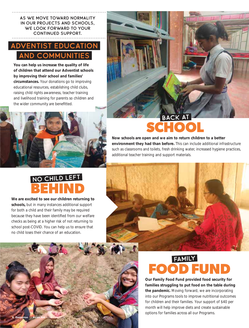As we move toward normality in our projects and schools, we look forward to your continued support.

### DVENTIST EDUC and Communities

**You can help us increase the quality of life of children that attend our Adventist schools by improving their school and families' circumstances.** Your donations go to improving educational resources, establishing child clubs, raising child rights awareness, teacher training and livelihood training for parents so children and the wider community are benefitted.





## **SCHOOL**

**Now schools are open and we aim to return children to a better environment they had than before.** This can include additional infrastructure such as classrooms and toilets, fresh drinking water, increased hygiene practices, additional teacher training and support materials.

### no child left **BEHIND**

**We are excited to see our children returning to schools,** but in many instances additional support for both a child and their family may be required because they have been identified from our welfare checks as being at a higher risk of not returning to school post-COVID. You can help us to ensure that no child loses their chance of an education.

**6 Response** *by* **Asian Aid** Issue Two 2021

## family **FOOD FUND**

**Our Family Food Fund provided food security for families struggling to put food on the table during the pandemic.** Moving forward, we are incorporating into our Programs tools to improve nutritional outcomes for children and their families. Your support of \$40 per month will help improve diets and create sustainable options for families across all our Programs.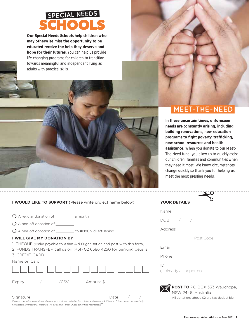

**Our Special Needs Schools help children who may otherwise miss the opportunity to be educated receive the help they deserve and hope for their futures.** You can help us provide life-changing programs for children to transition towards meaningful and independent living as adults with practical skills.



### Meet-The-Need

**In these uncertain times, unforeseen needs are constantly arising, including building renovations, new education**  programs to fight poverty, trafficking, **new school resources and health assistance.** When you donate to our Meet-The-Need fund, you allow us to quickly assist our children, families and communities when they need it most. We know circumstances change quickly so thank you for helping us meet the most pressing needs.

**I WOULD LIKE TO SUPPORT** (Please write project name below)

 $\_$  , and the set of the set of the set of the set of the set of the set of the set of the set of the set of the set of the set of the set of the set of the set of the set of the set of the set of the set of the set of th

| $\bigcirc$ A regular donation of | a month |
|----------------------------------|---------|
|----------------------------------|---------|

- $\bigcirc$  A one-off donation of  $\_\_$
- ❍ A one-off donation of \_\_\_\_\_\_\_\_\_ to #NoChildLeftBehind

#### **I WILL GIVE MY DONATION BY**

1. CHEQUE (Make payable to Asian Aid Organisation and post with this form)

2. FUNDS TRANSFER call us on (+61) 02 6586 4250 for banking details 3. CREDIT CARD

| Name on Card |  |
|--------------|--|
|              |  |

| Expiry                                                                                                                                       | Amount \$ |
|----------------------------------------------------------------------------------------------------------------------------------------------|-----------|
| Signature<br>If you do not wish to receive updates or promotional materials from Asian Aid please tick this box. This excludes our quarterly | Date      |

*newsletters. Promotional materials will be sent by email unless otherwise requested.* 

| <b>YOUR DETAILS</b>                           |
|-----------------------------------------------|
|                                               |
| $DOB$ ____/____/____                          |
|                                               |
|                                               |
| Email <b>Explorer Service Service Service</b> |
|                                               |
| $ID \_$<br>(if already a supporter)           |

**POST TO** PO BOX 333 Wauchope, NSW 2446, Australia All donations above \$2 are tax-deductible